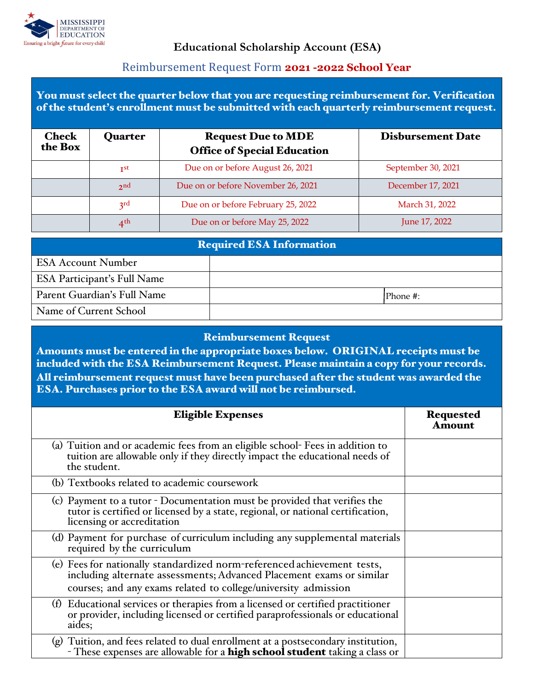

## **Educational Scholarship Account (ESA)**

## Reimbursement Request Form **2021 -2022 School Year**

You must select the quarter below that you are requesting reimbursement for. Verification of the student's enrollment must be submitted with each quarterly reimbursement request.

| <b>Check</b><br>the Box | Quarter         | <b>Request Due to MDE</b><br><b>Office of Special Education</b> | <b>Disbursement Date</b> |
|-------------------------|-----------------|-----------------------------------------------------------------|--------------------------|
|                         | I <sub>st</sub> | Due on or before August 26, 2021                                | September 30, 2021       |
|                         | 2 <sub>nd</sub> | Due on or before November 26, 2021                              | December 17, 2021        |
|                         | $2^{rd}$        | Due on or before February 25, 2022                              | March 31, 2022           |
|                         | $4^{\text{th}}$ | Due on or before May 25, 2022                                   | June 17, 2022            |

| <b>Required ESA Information</b>    |  |          |  |  |
|------------------------------------|--|----------|--|--|
| <b>ESA Account Number</b>          |  |          |  |  |
| <b>ESA Participant's Full Name</b> |  |          |  |  |
| Parent Guardian's Full Name        |  | Phone #: |  |  |
| Name of Current School             |  |          |  |  |

## Reimbursement Request

Amounts must be entered in the appropriate boxes below. ORIGINAL receipts must be included with the ESA Reimbursement Request. Please maintain a copy for your records. All reimbursement request must have been purchased after the student was awarded the ESA. Purchases prior to the ESA award will not be reimbursed.

| <b>Eligible Expenses</b>                                                                                                                                                                                          | <b>Requested</b><br>Amount |
|-------------------------------------------------------------------------------------------------------------------------------------------------------------------------------------------------------------------|----------------------------|
| (a) Tuition and or academic fees from an eligible school-Fees in addition to<br>tuition are allowable only if they directly impact the educational needs of<br>the student.                                       |                            |
| (b) Textbooks related to academic coursework                                                                                                                                                                      |                            |
| (c) Payment to a tutor - Documentation must be provided that verifies the<br>tutor is certified or licensed by a state, regional, or national certification,<br>licensing or accreditation                        |                            |
| (d) Payment for purchase of curriculum including any supplemental materials<br>required by the curriculum                                                                                                         |                            |
| (e) Fees for nationally standardized norm-referenced achievement tests,<br>including alternate assessments; Advanced Placement exams or similar<br>courses; and any exams related to college/university admission |                            |
| (f) Educational services or therapies from a licensed or certified practitioner<br>or provider, including licensed or certified paraprofessionals or educational<br>aides;                                        |                            |
| (g) Tuition, and fees related to dual enrollment at a postsecondary institution,<br>- These expenses are allowable for a <b>high school student</b> taking a class or                                             |                            |